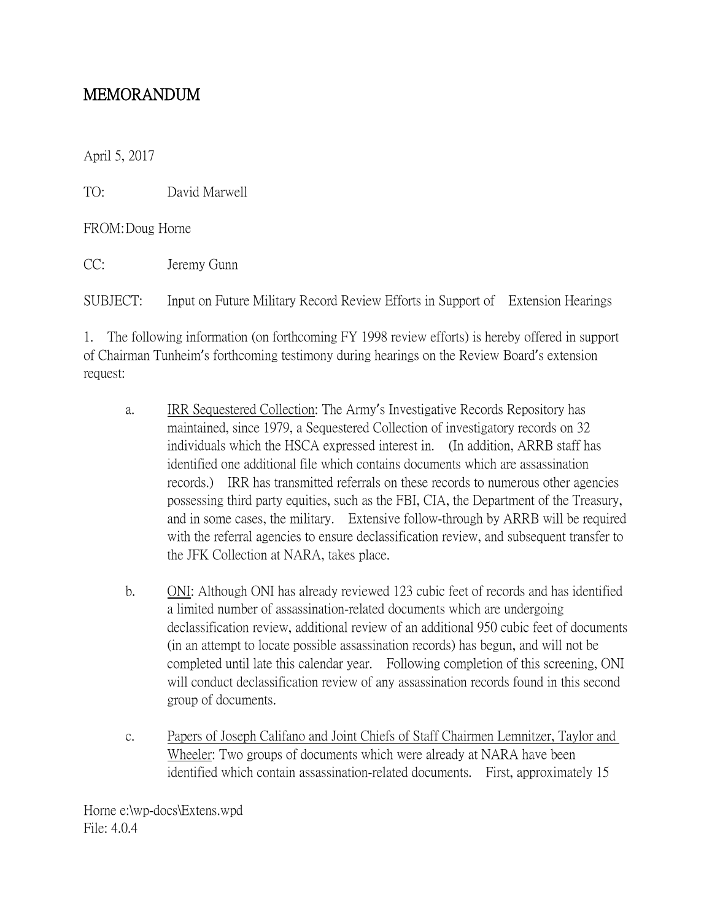## MEMORANDUM

April 5, 2017

TO: David Marwell

FROM:Doug Horne

CC: Jeremy Gunn

SUBJECT: Input on Future Military Record Review Efforts in Support of Extension Hearings

1. The following information (on forthcoming FY 1998 review efforts) is hereby offered in support of Chairman Tunheim's forthcoming testimony during hearings on the Review Board's extension request:

- a. IRR Sequestered Collection: The Army's Investigative Records Repository has maintained, since 1979, a Sequestered Collection of investigatory records on 32 individuals which the HSCA expressed interest in. (In addition, ARRB staff has identified one additional file which contains documents which are assassination records.) IRR has transmitted referrals on these records to numerous other agencies possessing third party equities, such as the FBI, CIA, the Department of the Treasury, and in some cases, the military. Extensive follow-through by ARRB will be required with the referral agencies to ensure declassification review, and subsequent transfer to the JFK Collection at NARA, takes place.
- b. ONI: Although ONI has already reviewed 123 cubic feet of records and has identified a limited number of assassination-related documents which are undergoing declassification review, additional review of an additional 950 cubic feet of documents (in an attempt to locate possible assassination records) has begun, and will not be completed until late this calendar year. Following completion of this screening, ONI will conduct declassification review of any assassination records found in this second group of documents.
- c. Papers of Joseph Califano and Joint Chiefs of Staff Chairmen Lemnitzer, Taylor and Wheeler: Two groups of documents which were already at NARA have been identified which contain assassination-related documents. First, approximately 15

Horne e:\wp-docs\Extens.wpd File: 4.0.4